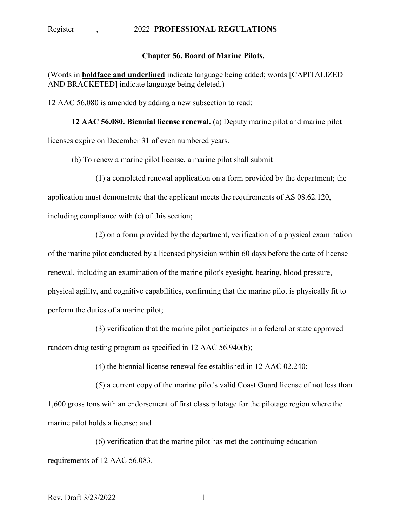## Register , 2022 **PROFESSIONAL REGULATIONS**

## **Chapter 56. Board of Marine Pilots.**

(Words in **boldface and underlined** indicate language being added; words [CAPITALIZED AND BRACKETED] indicate language being deleted.)

12 AAC 56.080 is amended by adding a new subsection to read:

**12 AAC 56.080. Biennial license renewal.** (a) Deputy marine pilot and marine pilot licenses expire on December 31 of even numbered years.

(b) To renew a marine pilot license, a marine pilot shall submit

(1) a completed renewal application on a form provided by the department; the

application must demonstrate that the applicant meets the requirements of AS 08.62.120,

including compliance with (c) of this section;

(2) on a form provided by the department, verification of a physical examination

of the marine pilot conducted by a licensed physician within 60 days before the date of license renewal, including an examination of the marine pilot's eyesight, hearing, blood pressure, physical agility, and cognitive capabilities, confirming that the marine pilot is physically fit to perform the duties of a marine pilot;

(3) verification that the marine pilot participates in a federal or state approved random drug testing program as specified in 12 AAC 56.940(b);

(4) the biennial license renewal fee established in 12 AAC 02.240;

(5) a current copy of the marine pilot's valid Coast Guard license of not less than 1,600 gross tons with an endorsement of first class pilotage for the pilotage region where the marine pilot holds a license; and

(6) verification that the marine pilot has met the continuing education requirements of 12 AAC 56.083.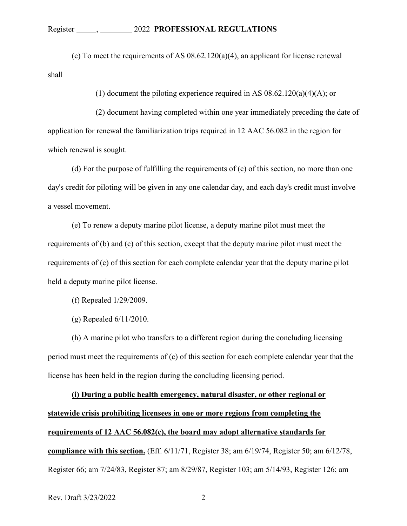(c) To meet the requirements of AS 08.62.120(a)(4), an applicant for license renewal shall

(1) document the piloting experience required in AS  $08.62.120(a)(4)(A)$ ; or

(2) document having completed within one year immediately preceding the date of application for renewal the familiarization trips required in 12 AAC 56.082 in the region for which renewal is sought.

(d) For the purpose of fulfilling the requirements of (c) of this section, no more than one day's credit for piloting will be given in any one calendar day, and each day's credit must involve a vessel movement.

(e) To renew a deputy marine pilot license, a deputy marine pilot must meet the requirements of (b) and (c) of this section, except that the deputy marine pilot must meet the requirements of (c) of this section for each complete calendar year that the deputy marine pilot held a deputy marine pilot license.

(f) Repealed 1/29/2009.

(g) Repealed 6/11/2010.

(h) A marine pilot who transfers to a different region during the concluding licensing period must meet the requirements of (c) of this section for each complete calendar year that the license has been held in the region during the concluding licensing period.

**(i) During a public health emergency, natural disaster, or other regional or statewide crisis prohibiting licensees in one or more regions from completing the requirements of 12 AAC 56.082(c), the board may adopt alternative standards for compliance with this section.** (Eff. 6/11/71, Register 38; am 6/19/74, Register 50; am 6/12/78, Register 66; am 7/24/83, Register 87; am 8/29/87, Register 103; am 5/14/93, Register 126; am